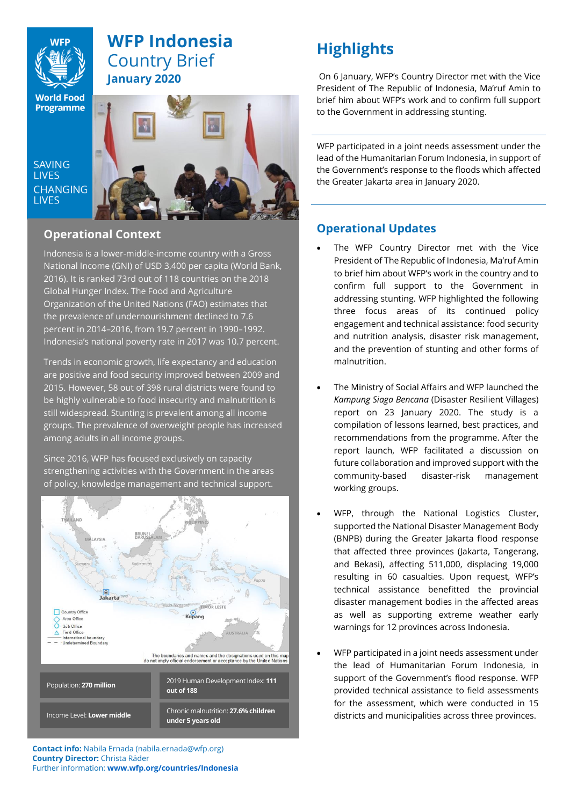

# **WFP Indonesia** Country Brief **January 2020**

**World Food Programme** 

SAVING **TIVES CHANGING I IVES** 



## **Operational Context**

Indonesia is a lower-middle-income country with a Gross National Income (GNI) of USD 3,400 per capita (World Bank, 2016). It is ranked 73rd out of 118 countries on the 2018 Global Hunger Index. The Food and Agriculture Organization of the United Nations (FAO) estimates that the prevalence of undernourishment declined to 7.6 percent in 2014–2016, from 19.7 percent in 1990–1992. Indonesia's national poverty rate in 2017 was 10.7 percent.

Trends in economic growth, life expectancy and education are positive and food security improved between 2009 and 2015. However, 58 out of 398 rural districts were found to be highly vulnerable to food insecurity and malnutrition is still widespread. Stunting is prevalent among all income groups. The prevalence of overweight people has increased among adults in all income groups.

Since 2016, WFP has focused exclusively on capacity strengthening activities with the Government in the areas of policy, knowledge management and technical support.



# **Highlights**

On 6 January, WFP's Country Director met with the Vice President of The Republic of Indonesia, Ma'ruf Amin to brief him about WFP's work and to confirm full support to the Government in addressing stunting.

WFP participated in a joint needs assessment under the lead of the Humanitarian Forum Indonesia, in support of the Government's response to the floods which affected the Greater Jakarta area in January 2020.

# **Operational Updates**

- The WFP Country Director met with the Vice President of The Republic of Indonesia, Ma'ruf Amin to brief him about WFP's work in the country and to confirm full support to the Government in addressing stunting. WFP highlighted the following three focus areas of its continued policy engagement and technical assistance: food security and nutrition analysis, disaster risk management, and the prevention of stunting and other forms of malnutrition.
- The Ministry of Social Affairs and WFP launched the *Kampung Siaga Bencana* (Disaster Resilient Villages) report on 23 January 2020. The study is a compilation of lessons learned, best practices, and recommendations from the programme. After the report launch, WFP facilitated a discussion on future collaboration and improved support with the community-based disaster-risk management working groups.
- WFP, through the National Logistics Cluster, supported the National Disaster Management Body (BNPB) during the Greater Jakarta flood response that affected three provinces (Jakarta, Tangerang, and Bekasi), affecting 511,000, displacing 19,000 resulting in 60 casualties. Upon request, WFP's technical assistance benefitted the provincial disaster management bodies in the affected areas as well as supporting extreme weather early warnings for 12 provinces across Indonesia.
- WFP participated in a joint needs assessment under the lead of Humanitarian Forum Indonesia, in support of the Government's flood response. WFP provided technical assistance to field assessments for the assessment, which were conducted in 15 districts and municipalities across three provinces.